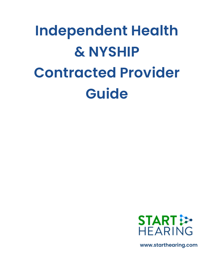# **Independent Health & NYSHIP Contracted Provider Guide**



**www.starthearing.com**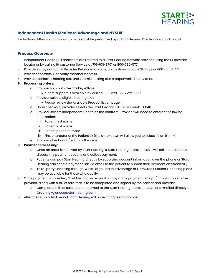

## **Independent Health Medicare Advantage and NYSHIP**

Evaluations, fittings, and follow-up visits must be performed by a Start Hearing Credentialed audiologist.

#### **Process Overview**

- 1. Independent Health (IH) members are referred to a Start Hearing network provider using the IH provider locator or by calling IH customer Service at 716-631-8701 or 800-736-5771.
- 2. Providers may contact IH Provider Relations for general questions at 716-631-3282 or 800-736-5771.
- 3. Provider contacts IH to verify member benefits.
- 4. Provider performs hearing test and submits testing claim paperwork directly to IH.

#### **5. Processing orders:**

- a. Provider logs onto the Starkey eStore
	- eStore support is available by calling 800-328-8602 ext. 5557
- b. Provider selects eligible hearing aids
	- Please review the Available Product list on page 4
- c. Upon checkout, provider selects the Start Hearing Bill-To account: E6048
- d. Provider selects Independent Health as the contract. Provider will need to enter the following information:
	- i. Patient first name
	- ii. Patient last name
	- iii. Patient phone number
	- iv. First character of the Patient ID (the drop-down will allow you to select 'A' or '9' only)
- e. Provider checks out / submits the order

#### **6. Payment Processing:**

- a. Once an order is received by Start Hearing, a Start Hearing representative will call the patient to discuss the payment options and collect payment.
- b. Patients can pay Start Hearing directly by supplying account information over the phone or Start Hearing can send a payment link via email to the patient to submit their payment electronically.
- c. Third-party financing through Wells Fargo Health Advantage or CareCredit Patient Financing plans may be available for those who qualify.
- 7. Once payment is collected, Start Hearing will e-mail a copy of the payment receipt (if applicable) to the provider, along with a bill of sale that is to be completed and signed by the patient and provider.
	- a. Completed bills of sale can be returned to the Start Hearing representative or e-mailed directly to [Ordering-glencoe@starthearing.com](mailto:Ordering-glencoe@starthearing.com)
- 8. After the 60-day trial period, Start Hearing will issue fitting fee to provider.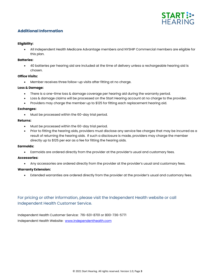

## **Additional Information**

#### **Eligibility:**

• All Independent Health Medicare Advantage members and NYSHIP Commercial members are eligible for this plan.

#### **Batteries:**

• 40 batteries per hearing aid are included at the time of delivery unless a rechargeable hearing aid is chosen.

#### **Office Visits:**

• Member receives three follow-up visits after fitting at no charge.

#### **Loss & Damage:**

- There is a one-time loss & damage coverage per hearing aid during the warranty period.
- Loss & damage claims will be processed on the Start Hearing account at no charge to the provider.
- Providers may charge the member up to \$125 for fitting each replacement hearing aid.

#### **Exchanges:**

• Must be processed within the 60-day trial period.

#### **Returns:**

- Must be processed within the 60-day trial period.
- Prior to fitting the hearing aids, providers must disclose any service fee charges that may be incurred as a result of returning the hearing aids. If such a disclosure is made, providers may charge the member directly up to \$125 per ear as a fee for fitting the hearing aids.

#### **Earmolds:**

• Earmolds are ordered directly from the provider at the provider's usual and customary fees.

#### **Accessories:**

• Any accessories are ordered directly from the provider at the provider's usual and customary fees.

#### **Warranty Extension:**

• Extended warranties are ordered directly from the provider at the provider's usual and customary fees.

## For pricing or other information, please visit the Independent Health website or call Independent Health Customer Service.

Independent Health Customer Service: 716-631-8701 or 800-736-5771 Independent Health Website: [www.independenthealth.com](http://www.independenthealth.com/)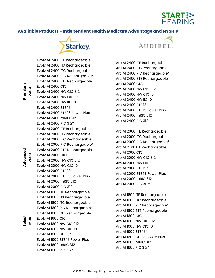

# **Available Products - Independent Health Medicare Advantage and NYSHIP**

|                  | <b>Starkey</b>                                                                                                                                                                                                                                                                                                                                                                                       | AUDIBEL                                                                                                                                                                                                                                                                                                                              |
|------------------|------------------------------------------------------------------------------------------------------------------------------------------------------------------------------------------------------------------------------------------------------------------------------------------------------------------------------------------------------------------------------------------------------|--------------------------------------------------------------------------------------------------------------------------------------------------------------------------------------------------------------------------------------------------------------------------------------------------------------------------------------|
| Premium<br>2400  | Evolv AI 2400 ITE Rechargeable<br>Evolv AI 2400 HS Rechargeable<br>Evolv AI 2400 ITC Rechargeable<br>Evolv AI 2400 RIC Rechargeable*<br>Evolv AI 2400 BTE Rechargeable<br>Evolv AI 2400 CIC<br>Evolv AI 2400 NW CIC 312<br><b>Evolv AI 2400 NW CIC 10</b><br>Evolv AI 2400 NW IIC 10<br>Evolv AI 2400 BTE 13*<br>Evolv AI 2400 BTE 13 Power Plus<br>Evolv AI 2400 mRIC 312<br>Evolv AI 2400 RIC 312* | Arc AI 2400 ITE Rechargeable<br>Arc AI 2400 ITC Rechargeable<br>Arc Al 2400 RIC Rechargeable*<br>Arc AI 2400 BTE Rechargeable<br>Arc AI 2400 CIC<br>Arc AI 2400 NW CIC 312<br>Arc AI 2400 NW CIC 10<br>Arc AI 2400 NW IIC 10<br>Arc AI 2400 BTE 13*<br>Arc AI 2400 BTE 13 Power Plus<br>Arc Al 2400 mRIC 312<br>Arc AI 2400 RIC 312* |
| Advanced<br>2000 | Evolv AI 2000 ITE Rechargeable<br>Evolv AI 2000 HS Rechargeable<br>Evolv AI 2000 ITC Rechargeable<br>Evolv AI 2000 RIC Rechargeable*<br>Evolv AI 2000 BTE Rechargeable<br>Evolv AI 2000 CIC<br><b>Evolv AI 2000 NW CIC 312</b><br><b>Evolv AI 2000 NW CIC 10</b><br>Evolv AI 2000 BTE 13*<br>Evolv AI 2000 BTE 13 Power Plus<br>Evolv AI 2000 mRIC 312<br>Evolv AI 2000 RIC 312*                     | Arc AI 2000 ITE Rechargeable<br>Arc AI 2000 ITC Rechargeable<br>Arc AI 2000 RIC Rechargeable*<br>Arc AI 2.00 BTE Rechargeable<br><b>Arc AI 2000 CIC</b><br>Arc AI 2000 NW CIC 312<br>Arc AI 2000 NW CIC 10<br>Arc AI 2000 BTE 13*<br>Arc AI 2000 BTE 13 Power Plus<br>Arc AI 2000 mRIC 312<br>Arc AI 2000 RIC 312*                   |
| Select<br>1600   | Evolv AI 1600 ITE Rechargeable<br>Evolv AI 1600 HS Rechargeable<br>Evolv AI 1600 ITC Rechargeable<br>Evolv AI 1600 RIC Rechargeable*<br>Evolv AI 1600 BTE Rechargeable<br>Evolv AI 1600 CIC<br><b>Evolv AI 1600 NW CIC 312</b><br><b>Evolv AI 1600 NW CIC 10</b><br>Evolv AI 1600 BTE 13*<br>Evolv AI 1600 BTE 13 Power Plus<br>Evolv AI 1600 mRIC 312<br>Evolv AI 1600 RIC 312*                     | Arc AI 1600 ITE Rechargeable<br>Arc AI 1600 ITC Rechargeable<br>Arc AI 1600 RIC Rechargeable*<br>Arc AI 1600 BTE Rechargeable<br>Arc AI 1600 CIC<br>Arc AI 1600 NW CIC 312<br>Arc AI 1600 NW CIC 10<br>Arc AI 1600 BTE 13*<br>Arc AI 1600 BTE 13 Power Plus<br>Arc AI 1600 mRIC 312<br>Arc AI 1600 RIC 312*                          |